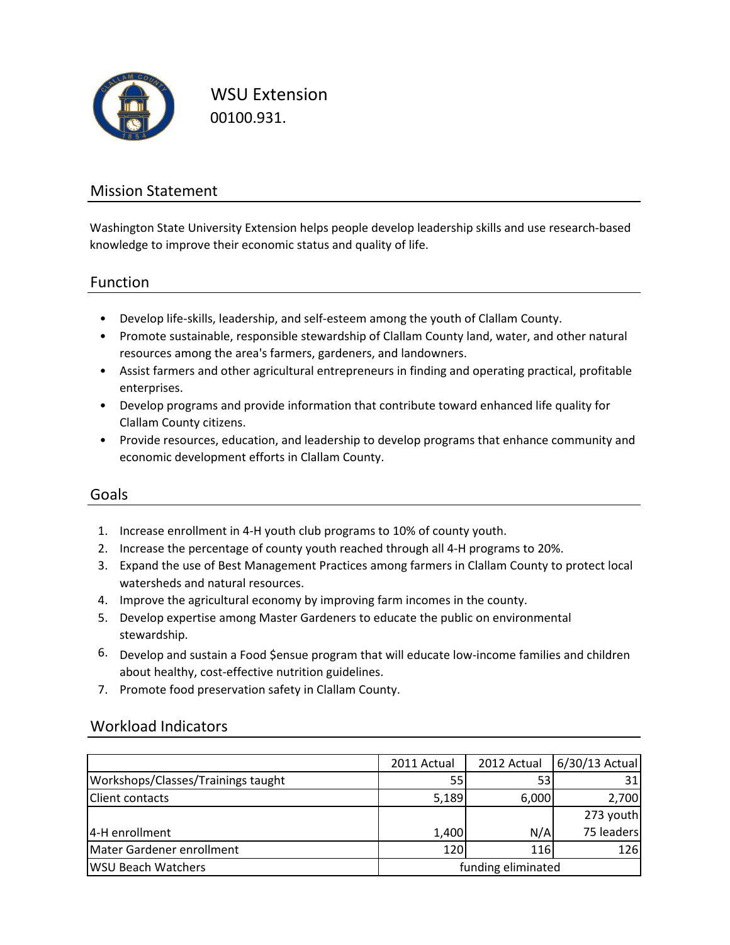

WSU Extension 00100.931.

### Mission Statement

Washington State University Extension helps people develop leadership skills and use research-based knowledge to improve their economic status and quality of life.

### Function

- Develop life-skills, leadership, and self-esteem among the youth of Clallam County.
- Promote sustainable, responsible stewardship of Clallam County land, water, and other natural resources among the area's farmers, gardeners, and landowners.
- Assist farmers and other agricultural entrepreneurs in finding and operating practical, profitable enterprises.
- Develop programs and provide information that contribute toward enhanced life quality for Clallam County citizens.
- Provide resources, education, and leadership to develop programs that enhance community and economic development efforts in Clallam County.

### Goals

- 1. Increase enrollment in 4-H youth club programs to 10% of county youth.
- 2. Increase the percentage of county youth reached through all 4-H programs to 20%.
- 3. Expand the use of Best Management Practices among farmers in Clallam County to protect local watersheds and natural resources.
- 4. Improve the agricultural economy by improving farm incomes in the county.
- 5. Develop expertise among Master Gardeners to educate the public on environmental stewardship.
- 6. Develop and sustain a Food \$ensue program that will educate low-income families and children about healthy, cost-effective nutrition guidelines.
- 7. Promote food preservation safety in Clallam County.

### Workload Indicators

|                                    | 2011 Actual        | 2012 Actual | 6/30/13 Actual |
|------------------------------------|--------------------|-------------|----------------|
| Workshops/Classes/Trainings taught | 551                | 53          | 31             |
| <b>Client contacts</b>             | 5,189              | 6,000       | 2,700          |
|                                    |                    |             | 273 youth      |
| 4-H enrollment                     | 1,400              | N/A         | 75 leaders     |
| Mater Gardener enrollment          | 120 <sup>1</sup>   | <b>116</b>  | 126            |
| <b>WSU Beach Watchers</b>          | funding eliminated |             |                |